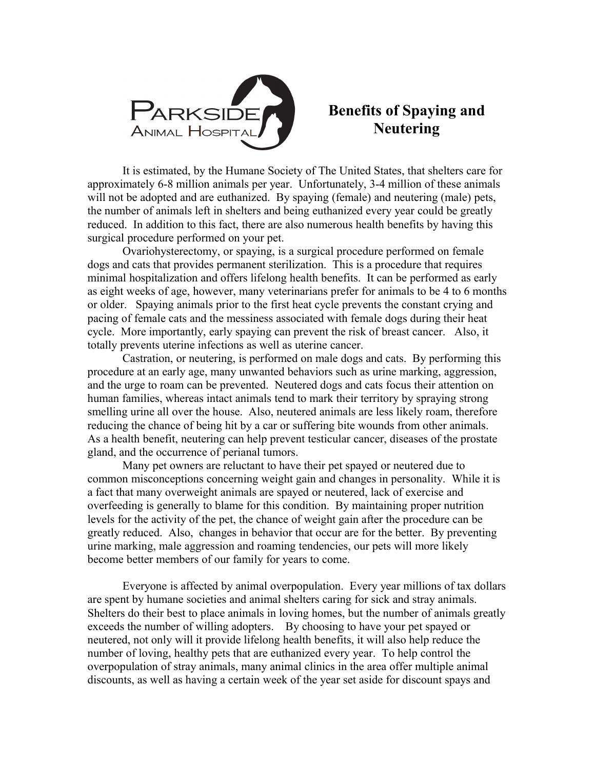

## **Benefits of Spaying and Neutering**

It is estimated, by the Humane Society of The United States, that shelters care for approximately 6-8 million animals per year. Unfortunately, 3-4 million of these animals will not be adopted and are euthanized. By spaying (female) and neutering (male) pets, the number of animals left in shelters and being euthanized every year could be greatly reduced. In addition to this fact, there are also numerous health benefits by having this surgical procedure performed on your pet.

Ovariohysterectomy, or spaying, is a surgical procedure performed on female dogs and cats that provides permanent sterilization. This is a procedure that requires minimal hospitalization and offers lifelong health benefits. It can be performed as early as eight weeks of age, however, many veterinarians prefer for animals to be 4 to 6 months or older. Spaying animals prior to the first heat cycle prevents the constant crying and pacing of female cats and the messiness associated with female dogs during their heat cycle. More importantly, early spaying can prevent the risk of breast cancer. Also, it totally prevents uterine infections as well as uterine cancer.

Castration, or neutering, is performed on male dogs and cats. By performing this procedure at an early age, many unwanted behaviors such as urine marking, aggression, and the urge to roam can be prevented. Neutered dogs and cats focus their attention on human families, whereas intact animals tend to mark their territory by spraying strong smelling urine all over the house. Also, neutered animals are less likely roam, therefore reducing the chance of being hit by a car or suffering bite wounds from other animals. As a health benefit, neutering can help prevent testicular cancer, diseases of the prostate gland, and the occurrence of perianal tumors.

Many pet owners are reluctant to have their pet spayed or neutered due to common misconceptions concerning weight gain and changes in personality. While it is a fact that many overweight animals are spayed or neutered, lack of exercise and overfeeding is generally to blame for this condition. By maintaining proper nutrition levels for the activity of the pet, the chance of weight gain after the procedure can be greatly reduced. Also, changes in behavior that occur are for the better. By preventing urine marking, male aggression and roaming tendencies, our pets will more likely become better members of our family for years to come.

Everyone is affected by animal overpopulation. Every year millions of tax dollars are spent by humane societies and animal shelters caring for sick and stray animals. Shelters do their best to place animals in loving homes, but the number of animals greatly exceeds the number of willing adopters. By choosing to have your pet spayed or neutered, not only will it provide lifelong health benefits, it will also help reduce the number of loving, healthy pets that are euthanized every year. To help control the overpopulation of stray animals, many animal clinics in the area offer multiple animal discounts, as well as having a certain week of the year set aside for discount spays and